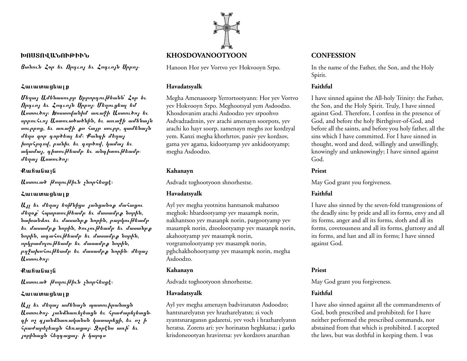#### ԽՈՍՏՈՎԱՆՈՒԹԻՒՆ

 $\beta$ անուն *Հօր եւ Որդւոյ եւ Հոդւոյ*ն Սրբոյ.

## $\mathcal{L}$ աւատացեայք

*Մեղայ Ամենասուրբ Երրորդու[ժեանն` Հօր եւ Որդւոյ եւ Հոդւոյն Սրբոյ։ Մեղուցեալ եմ <i>U***umncong: Խոստովանիմ առաջի Աստուծոյ եւ** *որբուՀւոյ Աստուածածնի*ն, եւ *առա*ջի *ամե*նայն *sourpong, եւ առաջի քո հայր սուրբ, գամենայն մեղս գոր գործեալ եմ*։ Քանգ*ի մեղայ իորհրդով, բանիւ եւ գործով, կամայ եւ ակամայ, դիտուխեամբ եւ անդիտուխեամբ մեղայ Աստուծոյ*։

### Ruhuuul

 $U$ *ստուած խողուխիւն չնոր հացէ*։

#### Fauataz;alq

 $\bm{u}_{\boldsymbol{M}}$  եւ մեղայ եօ*խ*նիցս յանցանօք մահացու *մեղ*օք՝ *հպարտուխեամբ եւ մասամբ* ն*որի*ն, *ոախանձու եւ մասանբը նորին, բարկու|ժեամբ ;u masambq norin% 'oulouj;amb ;u masanbq որին, ադահուխեամբ եւ մասամբք նորին, որկրամոլու[ժեամբ եւ մասամբ* ն*որի*ն, բդ**ջախո**Հու*թեամբ եւ մասամբ*ջ նորին *մեղայ*  $\boldsymbol{u}$ *umn* 

#### Rանանայն

 $U$ *ստուած խողուխիւն չնոր եսցէ*։

### *<u>Zwiwwwgtwip</u>*

*A\l ;u m;[a\ am;na\n patouiranazn*   $\bm{y}$ *umn*ւծոյ $\cdot$ յանձնառելեացն եւ հրաժարելեացն *գի ոչ գյա*նձնառականան կատարեցի, եւ ոչ ի *fravar;l;azn f;®aza\! Xørhns a®i^ ;u \ørinazn f;[gaza\& i kargs* 

# **KHOSDOVANOOTYOON**

Hanoon Hor yev Vortvo yev Hokvooyn Srpo.

# **Havadatsyalk**

Megha Amenasoorp Yerrortootyann: Hor yev Vortvo yev Hokvooyn Srpo. Meghootsyal yem Asdoodzo. Khosdovanim arachi Asdoodzo yev srpoohvo Asdvadzadznin, yev arachi amenayn soorpots, yev arachi ko hayr soorp, zamenayn meghs zor kordzyal yem. Kanzi megha khorhrtov, paniv yev kordzov, gama yev agama, kidootyamp yev ankidootyamp; megha Asdoodzo.

# **Kahanayn**

Asdvadz toghootyoon shnorhestse.

# **Havadatsyalk**

Ayl yev megha yeotnitss hantsanok mahatsoo meghok: hbardootyamp yev masampk norin, nakhantsoo yev masanpk norin, pargootyamp yev masampk norin, dzoolootyamp yev masanpk norin, akahootyamp yev masampk norin, vorgramolootyamp yev masampk norin, pghchakhohootyamp yev masampk norin, megha Asdoodzo.

## **Kahanayn**

Asdvadz toghootyoon shnorhestse.

# **Havadatsyalk**

Ayl yev megha amenayn badviranatsn Asdoodzo; hantsnarelyatsn yev hrazharelyatsn; zi voch zyantsnaragansn gadaretsi, yev voch i hrazharelyatsn heratsa. Zorens ari: yev horinatsn heghkatsa; i garks krisdoneootyan hraviretsa: yev kordzovs anarzhan

# **CONFESSION**

In the name of the Father, the Son, and the Holy Spirit.

# **Faithful**

I have sinned against the All-holy Trinity: the Father, the Son, and the Holy Spirit. Truly, I have sinned against God. Therefore, I confess in the presence of God, and before the holy Birthgiver-of-God, and before all the saints, and before you holy father, all the sins which I have committed. For I have sinned in thought, word and deed, willingly and unwillingly, knowingly and unknowingly; I have sinned against God.

## **Priest**

May God grant you forgiveness.

# **Faithful**

I have also sinned by the seven-fold transgressions of the deadly sins: by pride and all its forms, envy and all its forms, anger and all its forms, sloth and all its forms, covetousness and all its forms, gluttony and all its forms, and lust and all its forms; I have sinned against God.

# **Priest**

May God grant you forgiveness.

# **Faithful**

I have also sinned against all the commandments of God, both prescribed and prohibited; for I have neither performed the prescribed commands, nor abstained from that which is prohibited. I accepted the laws, but was slothful in keeping them. I was